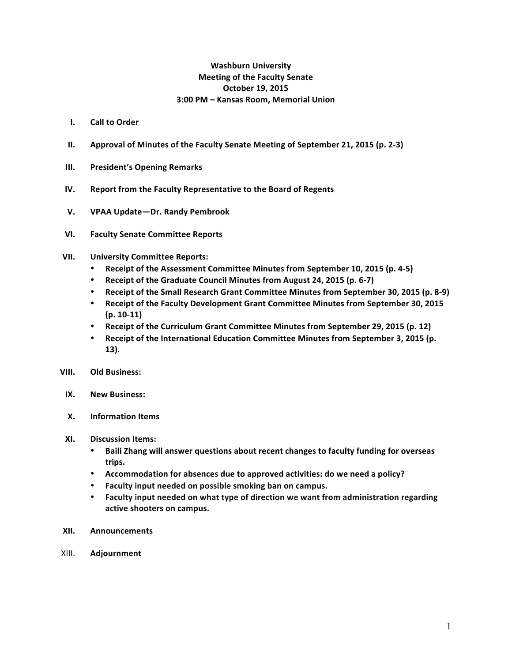## **Washburn University Meeting of the Faculty Senate October 19, 2015 3:00 PM – Kansas Room, Memorial Union**

- **I. Call to Order**
- **II.** Approval of Minutes of the Faculty Senate Meeting of September 21, 2015 (p. 2-3)
- **III.** President's Opening Remarks
- **IV.** Report from the Faculty Representative to the Board of Regents
- **V. VPAA Update—Dr. Randy Pembrook**
- **VI. Faculty Senate Committee Reports**
- **VII. University Committee Reports:**
	- Receipt of the Assessment Committee Minutes from September 10, 2015 (p. 4-5)
	- Receipt of the Graduate Council Minutes from August 24, 2015 (p. 6-7)
	- Receipt of the Small Research Grant Committee Minutes from September 30, 2015 (p. 8-9)
	- Receipt of the Faculty Development Grant Committee Minutes from September 30, 2015 **(p. 10-11)**
	- Receipt of the Curriculum Grant Committee Minutes from September 29, 2015 (p. 12)
	- Receipt of the International Education Committee Minutes from September 3, 2015 (p. **13).**
- **VIII.** Old Business:
- **IX. New Business:**
- **X. Information Items**
- **XI. Discussion Items:**
	- Baili Zhang will answer questions about recent changes to faculty funding for overseas **trips.**
	- Accommodation for absences due to approved activities: do we need a policy?
	- **•** Faculty input needed on possible smoking ban on campus.
	- Faculty input needed on what type of direction we want from administration regarding **active shooters on campus.**
- **XII. Announcements**
- XIII. **Adjournment**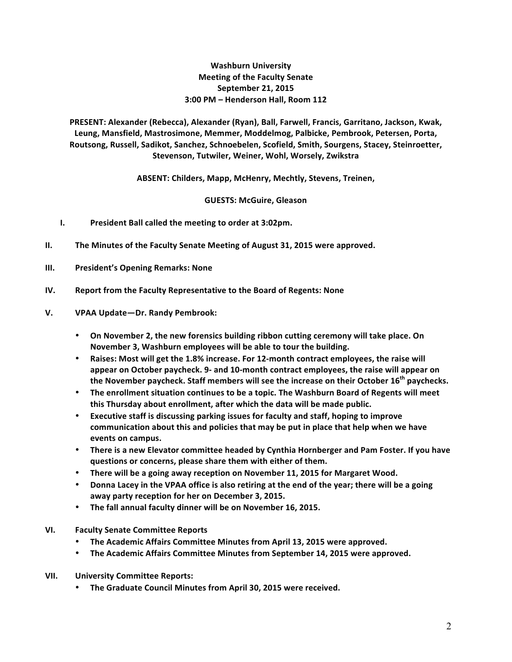## **Washburn University Meeting of the Faculty Senate September 21, 2015 3:00 PM – Henderson Hall, Room 112**

PRESENT: Alexander (Rebecca), Alexander (Ryan), Ball, Farwell, Francis, Garritano, Jackson, Kwak, Leung, Mansfield, Mastrosimone, Memmer, Moddelmog, Palbicke, Pembrook, Petersen, Porta, Routsong, Russell, Sadikot, Sanchez, Schnoebelen, Scofield, Smith, Sourgens, Stacey, Steinroetter, **Stevenson, Tutwiler, Weiner, Wohl, Worsely, Zwikstra**

ABSENT: Childers, Mapp, McHenry, Mechtly, Stevens, Treinen,

**GUESTS: McGuire, Gleason**

- **I.** President Ball called the meeting to order at 3:02pm.
- **II.** The Minutes of the Faculty Senate Meeting of August 31, 2015 were approved.
- **III.** President's Opening Remarks: None
- **IV. Report from the Faculty Representative to the Board of Regents: None**
- **V. VPAA Update—Dr. Randy Pembrook:**
	- On November 2, the new forensics building ribbon cutting ceremony will take place. On November 3, Washburn employees will be able to tour the building.
	- Raises: Most will get the 1.8% increase. For 12-month contract employees, the raise will appear on October paycheck. 9- and 10-month contract employees, the raise will appear on **the November paycheck. Staff members will see the increase on their October 16<sup>th</sup> paychecks.**
	- The enrollment situation continues to be a topic. The Washburn Board of Regents will meet this Thursday about enrollment, after which the data will be made public.
	- **Executive staff is discussing parking issues for faculty and staff, hoping to improve** communication about this and policies that may be put in place that help when we have events on campus.
	- There is a new Elevator committee headed by Cynthia Hornberger and Pam Foster. If you have questions or concerns, please share them with either of them.
	- There will be a going away reception on November 11, 2015 for Margaret Wood.
	- Donna Lacey in the VPAA office is also retiring at the end of the year; there will be a going away party reception for her on December 3, 2015.
	- The fall annual faculty dinner will be on November 16, 2015.
- **VI. Faculty Senate Committee Reports**
	- The Academic Affairs Committee Minutes from April 13, 2015 were approved.
	- The Academic Affairs Committee Minutes from September 14, 2015 were approved.
- **VII. University Committee Reports:**
	- The Graduate Council Minutes from April 30, 2015 were received.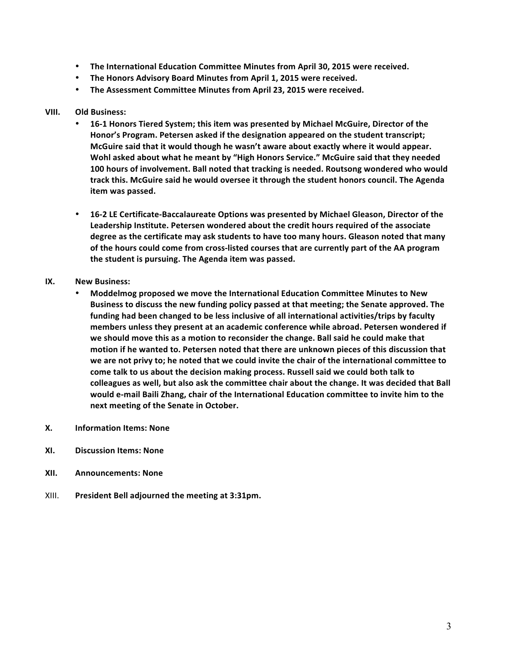- The International Education Committee Minutes from April 30, 2015 were received.
- The Honors Advisory Board Minutes from April 1, 2015 were received.
- The Assessment Committee Minutes from April 23, 2015 were received.

#### **VIII. Old Business:**

- 16-1 Honors Tiered System; this item was presented by Michael McGuire, Director of the Honor's Program. Petersen asked if the designation appeared on the student transcript; McGuire said that it would though he wasn't aware about exactly where it would appear. Wohl asked about what he meant by "High Honors Service." McGuire said that they needed **100 hours of involvement. Ball noted that tracking is needed. Routsong wondered who would** track this. McGuire said he would oversee it through the student honors council. The Agenda **item was passed.**
- 16-2 LE Certificate-Baccalaureate Options was presented by Michael Gleason, Director of the Leadership Institute. Petersen wondered about the credit hours required of the associate degree as the certificate may ask students to have too many hours. Gleason noted that many of the hours could come from cross-listed courses that are currently part of the AA program the student is pursuing. The Agenda item was passed.
- **IX. New Business:** 
	- Moddelmog proposed we move the International Education Committee Minutes to New Business to discuss the new funding policy passed at that meeting; the Senate approved. The funding had been changed to be less inclusive of all international activities/trips by faculty members unless they present at an academic conference while abroad. Petersen wondered if we should move this as a motion to reconsider the change. Ball said he could make that motion if he wanted to. Petersen noted that there are unknown pieces of this discussion that we are not privy to; he noted that we could invite the chair of the international committee to come talk to us about the decision making process. Russell said we could both talk to colleagues as well, but also ask the committee chair about the change. It was decided that Ball would e-mail Baili Zhang, chair of the International Education committee to invite him to the **next meeting of the Senate in October.**
- **X. Information Items: None**
- **XI. Discussion Items: None**
- **XII. Announcements: None**
- XIII. President Bell adjourned the meeting at 3:31pm.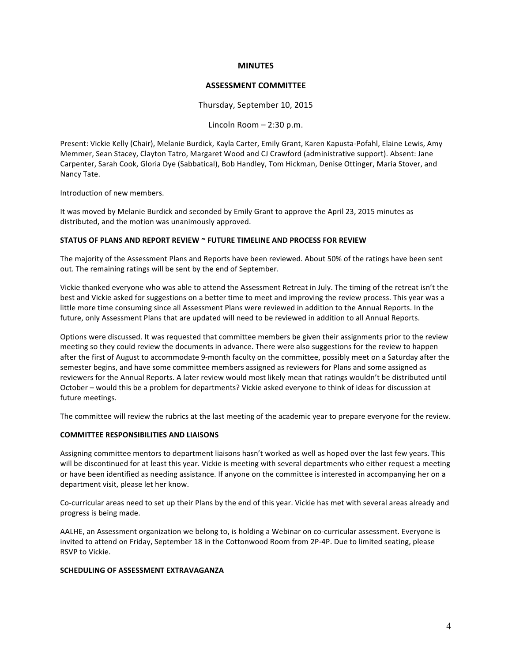#### **MINUTES**

#### **ASSESSMENT COMMITTEE**

Thursday, September 10, 2015

Lincoln Room  $- 2:30$  p.m.

Present: Vickie Kelly (Chair), Melanie Burdick, Kayla Carter, Emily Grant, Karen Kapusta-Pofahl, Elaine Lewis, Amy Memmer, Sean Stacey, Clayton Tatro, Margaret Wood and CJ Crawford (administrative support). Absent: Jane Carpenter, Sarah Cook, Gloria Dye (Sabbatical), Bob Handley, Tom Hickman, Denise Ottinger, Maria Stover, and Nancy Tate.

Introduction of new members.

It was moved by Melanie Burdick and seconded by Emily Grant to approve the April 23, 2015 minutes as distributed, and the motion was unanimously approved.

#### STATUS OF PLANS AND REPORT REVIEW ~ FUTURE TIMELINE AND PROCESS FOR REVIEW

The majority of the Assessment Plans and Reports have been reviewed. About 50% of the ratings have been sent out. The remaining ratings will be sent by the end of September.

Vickie thanked everyone who was able to attend the Assessment Retreat in July. The timing of the retreat isn't the best and Vickie asked for suggestions on a better time to meet and improving the review process. This year was a little more time consuming since all Assessment Plans were reviewed in addition to the Annual Reports. In the future, only Assessment Plans that are updated will need to be reviewed in addition to all Annual Reports.

Options were discussed. It was requested that committee members be given their assignments prior to the review meeting so they could review the documents in advance. There were also suggestions for the review to happen after the first of August to accommodate 9-month faculty on the committee, possibly meet on a Saturday after the semester begins, and have some committee members assigned as reviewers for Plans and some assigned as reviewers for the Annual Reports. A later review would most likely mean that ratings wouldn't be distributed until October – would this be a problem for departments? Vickie asked everyone to think of ideas for discussion at future meetings.

The committee will review the rubrics at the last meeting of the academic year to prepare everyone for the review.

#### **COMMITTEE RESPONSIBILITIES AND LIAISONS**

Assigning committee mentors to department liaisons hasn't worked as well as hoped over the last few years. This will be discontinued for at least this year. Vickie is meeting with several departments who either request a meeting or have been identified as needing assistance. If anyone on the committee is interested in accompanying her on a department visit, please let her know.

Co-curricular areas need to set up their Plans by the end of this year. Vickie has met with several areas already and progress is being made.

AALHE, an Assessment organization we belong to, is holding a Webinar on co-curricular assessment. Everyone is invited to attend on Friday, September 18 in the Cottonwood Room from 2P-4P. Due to limited seating, please RSVP to Vickie.

#### **SCHEDULING OF ASSESSMENT EXTRAVAGANZA**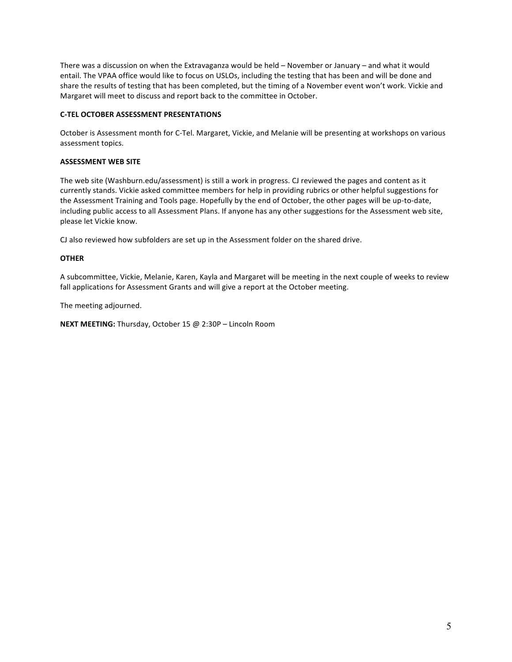There was a discussion on when the Extravaganza would be held  $-$  November or January  $-$  and what it would entail. The VPAA office would like to focus on USLOs, including the testing that has been and will be done and share the results of testing that has been completed, but the timing of a November event won't work. Vickie and Margaret will meet to discuss and report back to the committee in October.

#### **C-TEL OCTOBER ASSESSMENT PRESENTATIONS**

October is Assessment month for C-Tel. Margaret, Vickie, and Melanie will be presenting at workshops on various assessment topics.

### **ASSESSMENT WEB SITE**

The web site (Washburn.edu/assessment) is still a work in progress. CJ reviewed the pages and content as it currently stands. Vickie asked committee members for help in providing rubrics or other helpful suggestions for the Assessment Training and Tools page. Hopefully by the end of October, the other pages will be up-to-date, including public access to all Assessment Plans. If anyone has any other suggestions for the Assessment web site, please let Vickie know.

CJ also reviewed how subfolders are set up in the Assessment folder on the shared drive.

### **OTHER**

A subcommittee, Vickie, Melanie, Karen, Kayla and Margaret will be meeting in the next couple of weeks to review fall applications for Assessment Grants and will give a report at the October meeting.

The meeting adjourned.

**NEXT MEETING:** Thursday, October 15 @ 2:30P - Lincoln Room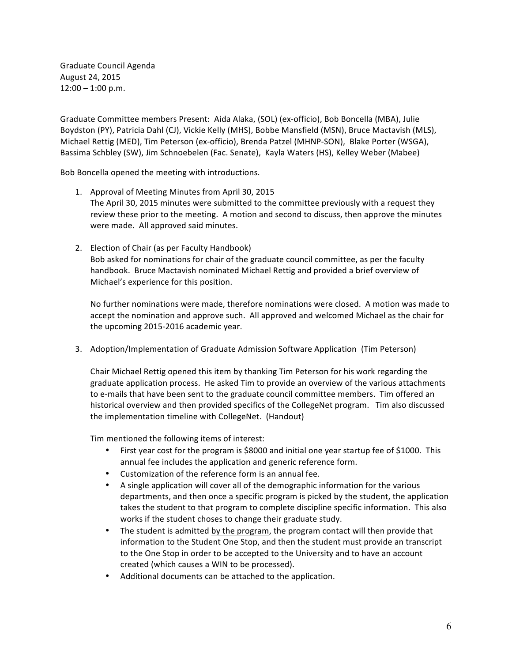Graduate Council Agenda August 24, 2015  $12:00 - 1:00$  p.m.

Graduate Committee members Present: Aida Alaka, (SOL) (ex-officio), Bob Boncella (MBA), Julie Boydston (PY), Patricia Dahl (CJ), Vickie Kelly (MHS), Bobbe Mansfield (MSN), Bruce Mactavish (MLS), Michael Rettig (MED), Tim Peterson (ex-officio), Brenda Patzel (MHNP-SON), Blake Porter (WSGA), Bassima Schbley (SW), Jim Schnoebelen (Fac. Senate), Kayla Waters (HS), Kelley Weber (Mabee)

Bob Boncella opened the meeting with introductions.

- 1. Approval of Meeting Minutes from April 30, 2015 The April 30, 2015 minutes were submitted to the committee previously with a request they review these prior to the meeting. A motion and second to discuss, then approve the minutes were made. All approved said minutes.
- 2. Election of Chair (as per Faculty Handbook) Bob asked for nominations for chair of the graduate council committee, as per the faculty handbook. Bruce Mactavish nominated Michael Rettig and provided a brief overview of Michael's experience for this position.

No further nominations were made, therefore nominations were closed. A motion was made to accept the nomination and approve such. All approved and welcomed Michael as the chair for the upcoming 2015-2016 academic year.

3. Adoption/Implementation of Graduate Admission Software Application (Tim Peterson)

Chair Michael Rettig opened this item by thanking Tim Peterson for his work regarding the graduate application process. He asked Tim to provide an overview of the various attachments to e-mails that have been sent to the graduate council committee members. Tim offered an historical overview and then provided specifics of the CollegeNet program. Tim also discussed the implementation timeline with CollegeNet. (Handout)

Tim mentioned the following items of interest:

- First year cost for the program is \$8000 and initial one year startup fee of \$1000. This annual fee includes the application and generic reference form.
- Customization of the reference form is an annual fee.
- A single application will cover all of the demographic information for the various departments, and then once a specific program is picked by the student, the application takes the student to that program to complete discipline specific information. This also works if the student choses to change their graduate study.
- The student is admitted by the program, the program contact will then provide that information to the Student One Stop, and then the student must provide an transcript to the One Stop in order to be accepted to the University and to have an account created (which causes a WIN to be processed).
- Additional documents can be attached to the application.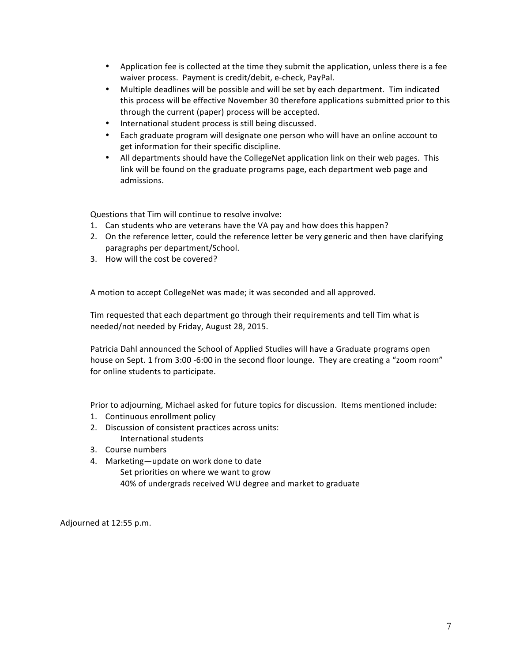- Application fee is collected at the time they submit the application, unless there is a fee waiver process. Payment is credit/debit, e-check, PayPal.
- Multiple deadlines will be possible and will be set by each department. Tim indicated this process will be effective November 30 therefore applications submitted prior to this through the current (paper) process will be accepted.
- International student process is still being discussed.
- Each graduate program will designate one person who will have an online account to get information for their specific discipline.
- All departments should have the CollegeNet application link on their web pages. This link will be found on the graduate programs page, each department web page and admissions.

Questions that Tim will continue to resolve involve:

- 1. Can students who are veterans have the VA pay and how does this happen?
- 2. On the reference letter, could the reference letter be very generic and then have clarifying paragraphs per department/School.
- 3. How will the cost be covered?

A motion to accept CollegeNet was made; it was seconded and all approved.

Tim requested that each department go through their requirements and tell Tim what is needed/not needed by Friday, August 28, 2015.

Patricia Dahl announced the School of Applied Studies will have a Graduate programs open house on Sept. 1 from 3:00 -6:00 in the second floor lounge. They are creating a "zoom room" for online students to participate.

Prior to adjourning, Michael asked for future topics for discussion. Items mentioned include:

- 1. Continuous enrollment policy
- 2. Discussion of consistent practices across units:
- International students
- 3. Course numbers
- 4. Marketing-update on work done to date Set priorities on where we want to grow 40% of undergrads received WU degree and market to graduate

Adjourned at 12:55 p.m.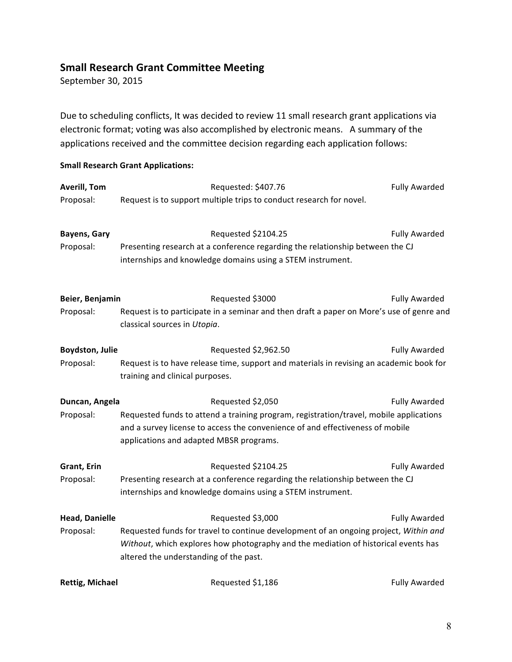# **Small Research Grant Committee Meeting**

September 30, 2015

Due to scheduling conflicts, It was decided to review 11 small research grant applications via electronic format; voting was also accomplished by electronic means. A summary of the applications received and the committee decision regarding each application follows:

# **Small Research Grant Applications:**

| <b>Averill, Tom</b>    | Requested: \$407.76                                                                      | <b>Fully Awarded</b> |  |
|------------------------|------------------------------------------------------------------------------------------|----------------------|--|
| Proposal:              | Request is to support multiple trips to conduct research for novel.                      |                      |  |
|                        |                                                                                          |                      |  |
| <b>Bayens, Gary</b>    | Requested \$2104.25                                                                      | <b>Fully Awarded</b> |  |
| Proposal:              | Presenting research at a conference regarding the relationship between the CJ            |                      |  |
|                        | internships and knowledge domains using a STEM instrument.                               |                      |  |
| Beier, Benjamin        | Requested \$3000                                                                         | Fully Awarded        |  |
| Proposal:              | Request is to participate in a seminar and then draft a paper on More's use of genre and |                      |  |
|                        | classical sources in Utopia.                                                             |                      |  |
| Boydston, Julie        | Requested \$2,962.50                                                                     | <b>Fully Awarded</b> |  |
| Proposal:              | Request is to have release time, support and materials in revising an academic book for  |                      |  |
|                        | training and clinical purposes.                                                          |                      |  |
| Duncan, Angela         | Requested \$2,050                                                                        | <b>Fully Awarded</b> |  |
| Proposal:              | Requested funds to attend a training program, registration/travel, mobile applications   |                      |  |
|                        | and a survey license to access the convenience of and effectiveness of mobile            |                      |  |
|                        | applications and adapted MBSR programs.                                                  |                      |  |
| Grant, Erin            | Requested \$2104.25                                                                      | <b>Fully Awarded</b> |  |
| Proposal:              | Presenting research at a conference regarding the relationship between the CJ            |                      |  |
|                        | internships and knowledge domains using a STEM instrument.                               |                      |  |
| <b>Head, Danielle</b>  | Requested \$3,000                                                                        | <b>Fully Awarded</b> |  |
| Proposal:              | Requested funds for travel to continue development of an ongoing project, Within and     |                      |  |
|                        | Without, which explores how photography and the mediation of historical events has       |                      |  |
|                        | altered the understanding of the past.                                                   |                      |  |
| <b>Rettig, Michael</b> | Requested \$1,186                                                                        | <b>Fully Awarded</b> |  |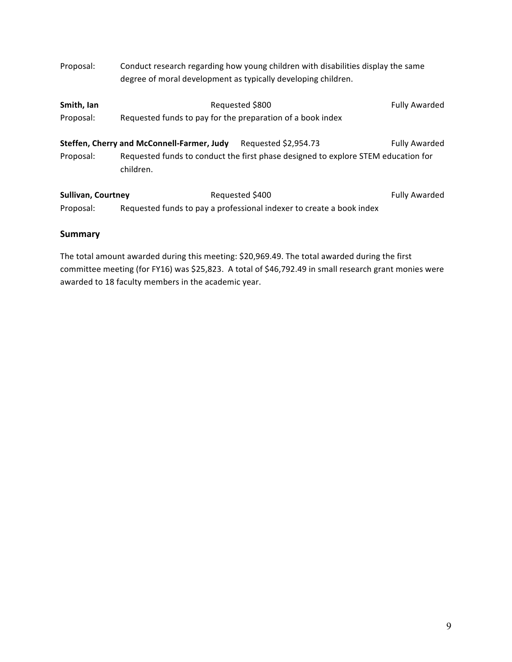| Proposal:                 | Conduct research regarding how young children with disabilities display the same<br>degree of moral development as typically developing children. |                                                                                   |                      |  |
|---------------------------|---------------------------------------------------------------------------------------------------------------------------------------------------|-----------------------------------------------------------------------------------|----------------------|--|
| Smith, Ian                | Requested \$800                                                                                                                                   | Fully Awarded                                                                     |                      |  |
| Proposal:                 | Requested funds to pay for the preparation of a book index                                                                                        |                                                                                   |                      |  |
|                           | Steffen, Cherry and McConnell-Farmer, Judy                                                                                                        | Requested \$2,954.73                                                              | <b>Fully Awarded</b> |  |
| Proposal:                 | children.                                                                                                                                         | Requested funds to conduct the first phase designed to explore STEM education for |                      |  |
| <b>Sullivan, Courtney</b> |                                                                                                                                                   | Requested \$400                                                                   | <b>Fully Awarded</b> |  |
| Proposal:                 |                                                                                                                                                   | Requested funds to pay a professional indexer to create a book index              |                      |  |

## **Summary**

The total amount awarded during this meeting: \$20,969.49. The total awarded during the first committee meeting (for FY16) was \$25,823. A total of \$46,792.49 in small research grant monies were awarded to 18 faculty members in the academic year.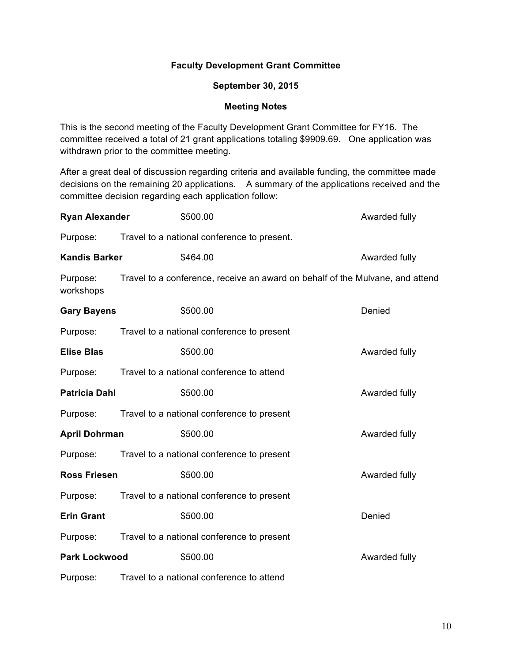# **Faculty Development Grant Committee**

### **September 30, 2015**

### **Meeting Notes**

This is the second meeting of the Faculty Development Grant Committee for FY16. The committee received a total of 21 grant applications totaling \$9909.69. One application was withdrawn prior to the committee meeting.

After a great deal of discussion regarding criteria and available funding, the committee made decisions on the remaining 20 applications. A summary of the applications received and the committee decision regarding each application follow:

| <b>Ryan Alexander</b> | \$500.00                                                                      | Awarded fully |
|-----------------------|-------------------------------------------------------------------------------|---------------|
| Purpose:              | Travel to a national conference to present.                                   |               |
| <b>Kandis Barker</b>  | \$464.00                                                                      | Awarded fully |
| Purpose:<br>workshops | Travel to a conference, receive an award on behalf of the Mulvane, and attend |               |
| <b>Gary Bayens</b>    | \$500.00                                                                      | Denied        |
| Purpose:              | Travel to a national conference to present                                    |               |
| <b>Elise Blas</b>     | \$500.00                                                                      | Awarded fully |
| Purpose:              | Travel to a national conference to attend                                     |               |
| <b>Patricia Dahl</b>  | \$500.00                                                                      | Awarded fully |
| Purpose:              | Travel to a national conference to present                                    |               |
| <b>April Dohrman</b>  | \$500.00                                                                      | Awarded fully |
| Purpose:              | Travel to a national conference to present                                    |               |
| <b>Ross Friesen</b>   | \$500.00                                                                      | Awarded fully |
| Purpose:              | Travel to a national conference to present                                    |               |
| <b>Erin Grant</b>     | \$500.00                                                                      | Denied        |
| Purpose:              | Travel to a national conference to present                                    |               |
| <b>Park Lockwood</b>  | \$500.00                                                                      | Awarded fully |
| Purpose:              | Travel to a national conference to attend                                     |               |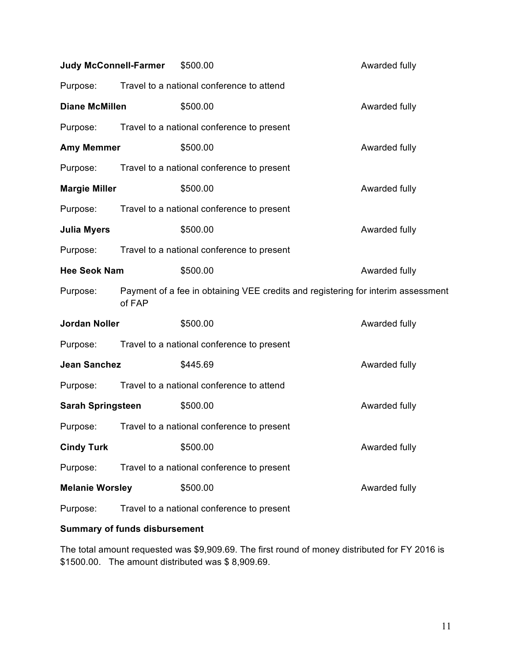| <b>Judy McConnell-Farmer</b> |                                           | \$500.00                                                                         | Awarded fully |
|------------------------------|-------------------------------------------|----------------------------------------------------------------------------------|---------------|
| Purpose:                     | Travel to a national conference to attend |                                                                                  |               |
| <b>Diane McMillen</b>        |                                           | \$500.00                                                                         | Awarded fully |
| Purpose:                     |                                           | Travel to a national conference to present                                       |               |
| <b>Amy Memmer</b>            |                                           | \$500.00                                                                         | Awarded fully |
| Purpose:                     |                                           | Travel to a national conference to present                                       |               |
| <b>Margie Miller</b>         |                                           | \$500.00                                                                         | Awarded fully |
| Purpose:                     |                                           | Travel to a national conference to present                                       |               |
| <b>Julia Myers</b>           |                                           | \$500.00                                                                         | Awarded fully |
| Purpose:                     |                                           | Travel to a national conference to present                                       |               |
| <b>Hee Seok Nam</b>          |                                           | \$500.00                                                                         | Awarded fully |
| Purpose:                     | of FAP                                    | Payment of a fee in obtaining VEE credits and registering for interim assessment |               |
| <b>Jordan Noller</b>         |                                           | \$500.00                                                                         | Awarded fully |
| Purpose:                     |                                           | Travel to a national conference to present                                       |               |
| <b>Jean Sanchez</b>          |                                           | \$445.69                                                                         | Awarded fully |
| Purpose:                     |                                           | Travel to a national conference to attend                                        |               |
| <b>Sarah Springsteen</b>     |                                           | \$500.00                                                                         | Awarded fully |
| Purpose:                     |                                           | Travel to a national conference to present                                       |               |
| <b>Cindy Turk</b>            |                                           | \$500.00                                                                         | Awarded fully |
| Purpose:                     |                                           | Travel to a national conference to present                                       |               |
| <b>Melanie Worsley</b>       |                                           | \$500.00                                                                         | Awarded fully |
| Purpose:                     |                                           | Travel to a national conference to present                                       |               |

# **Summary of funds disbursement**

The total amount requested was \$9,909.69. The first round of money distributed for FY 2016 is \$1500.00. The amount distributed was \$ 8,909.69.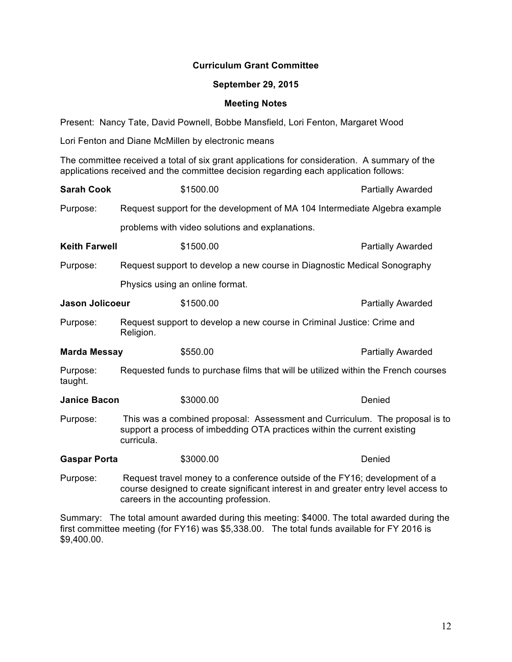## **Curriculum Grant Committee**

### **September 29, 2015**

### **Meeting Notes**

Present: Nancy Tate, David Pownell, Bobbe Mansfield, Lori Fenton, Margaret Wood

Lori Fenton and Diane McMillen by electronic means

The committee received a total of six grant applications for consideration. A summary of the applications received and the committee decision regarding each application follows:

| <b>Sarah Cook</b>      |                                                                                   | \$1500.00                                                                                                                                                                                                  | <b>Partially Awarded</b> |  |
|------------------------|-----------------------------------------------------------------------------------|------------------------------------------------------------------------------------------------------------------------------------------------------------------------------------------------------------|--------------------------|--|
| Purpose:               |                                                                                   | Request support for the development of MA 104 Intermediate Algebra example                                                                                                                                 |                          |  |
|                        |                                                                                   | problems with video solutions and explanations.                                                                                                                                                            |                          |  |
| <b>Keith Farwell</b>   |                                                                                   | \$1500.00                                                                                                                                                                                                  | <b>Partially Awarded</b> |  |
| Purpose:               |                                                                                   | Request support to develop a new course in Diagnostic Medical Sonography                                                                                                                                   |                          |  |
|                        |                                                                                   | Physics using an online format.                                                                                                                                                                            |                          |  |
| <b>Jason Jolicoeur</b> |                                                                                   | \$1500.00                                                                                                                                                                                                  | <b>Partially Awarded</b> |  |
| Purpose:               | Religion.                                                                         | Request support to develop a new course in Criminal Justice: Crime and                                                                                                                                     |                          |  |
| <b>Marda Messay</b>    |                                                                                   | \$550.00                                                                                                                                                                                                   | Partially Awarded        |  |
| Purpose:<br>taught.    | Requested funds to purchase films that will be utilized within the French courses |                                                                                                                                                                                                            |                          |  |
| <b>Janice Bacon</b>    |                                                                                   | \$3000.00                                                                                                                                                                                                  | Denied                   |  |
| Purpose:               | curricula.                                                                        | This was a combined proposal: Assessment and Curriculum. The proposal is to<br>support a process of imbedding OTA practices within the current existing                                                    |                          |  |
| <b>Gaspar Porta</b>    |                                                                                   | \$3000.00                                                                                                                                                                                                  | Denied                   |  |
| Purpose:               |                                                                                   | Request travel money to a conference outside of the FY16; development of a<br>course designed to create significant interest in and greater entry level access to<br>careers in the accounting profession. |                          |  |

Summary:The total amount awarded during this meeting: \$4000. The total awarded during the first committee meeting (for FY16) was \$5,338.00. The total funds available for FY 2016 is \$9,400.00.